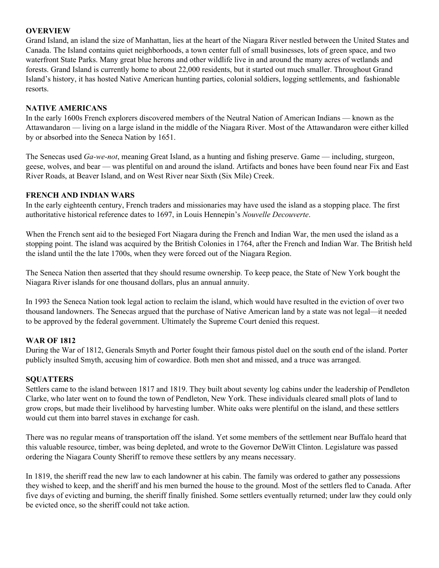#### **OVERVIEW**

Grand Island, an island the size of Manhattan, lies at the heart of the Niagara River nestled between the United States and Canada. The Island contains quiet neighborhoods, a town center full of small businesses, lots of green space, and two waterfront State Parks. Many great blue herons and other wildlife live in and around the many acres of wetlands and forests. Grand Island is currently home to about 22,000 residents, but it started out much smaller. Throughout Grand Island's history, it has hosted Native American hunting parties, colonial soldiers, logging settlements, and fashionable resorts.

## **NATIVE AMERICANS**

In the early 1600s French explorers discovered members of the Neutral Nation of American Indians — known as the Attawandaron — living on a large island in the middle of the Niagara River. Most of the Attawandaron were either killed by or absorbed into the Seneca Nation by 1651.

The Senecas used *Ga-we-not*, meaning Great Island, as a hunting and fishing preserve. Game — including, sturgeon, geese, wolves, and bear — was plentiful on and around the island. Artifacts and bones have been found near Fix and East River Roads, at Beaver Island, and on West River near Sixth (Six Mile) Creek.

## **FRENCH AND INDIAN WARS**

In the early eighteenth century, French traders and missionaries may have used the island as a stopping place. The first authoritative historical reference dates to 1697, in Louis Hennepin's *Nouvelle Decouverte*.

When the French sent aid to the besieged Fort Niagara during the French and Indian War, the men used the island as a stopping point. The island was acquired by the British Colonies in 1764, after the French and Indian War. The British held the island until the the late 1700s, when they were forced out of the Niagara Region.

The Seneca Nation then asserted that they should resume ownership. To keep peace, the State of New York bought the Niagara River islands for one thousand dollars, plus an annual annuity.

In 1993 the Seneca Nation took legal action to reclaim the island, which would have resulted in the eviction of over two thousand landowners. The Senecas argued that the purchase of Native American land by a state was not legal—it needed to be approved by the federal government. Ultimately the Supreme Court denied this request.

#### **WAR OF 1812**

During the War of 1812, Generals Smyth and Porter fought their famous pistol duel on the south end of the island. Porter publicly insulted Smyth, accusing him of cowardice. Both men shot and missed, and a truce was arranged.

#### **SQUATTERS**

Settlers came to the island between 1817 and 1819. They built about seventy log cabins under the leadership of Pendleton Clarke, who later went on to found the town of Pendleton, New York. These individuals cleared small plots of land to grow crops, but made their livelihood by harvesting lumber. White oaks were plentiful on the island, and these settlers would cut them into barrel staves in exchange for cash.

There was no regular means of transportation off the island. Yet some members of the settlement near Buffalo heard that this valuable resource, timber, was being depleted, and wrote to the Governor DeWitt Clinton. Legislature was passed ordering the Niagara County Sheriff to remove these settlers by any means necessary.

In 1819, the sheriff read the new law to each landowner at his cabin. The family was ordered to gather any possessions they wished to keep, and the sheriff and his men burned the house to the ground. Most of the settlers fled to Canada. After five days of evicting and burning, the sheriff finally finished. Some settlers eventually returned; under law they could only be evicted once, so the sheriff could not take action.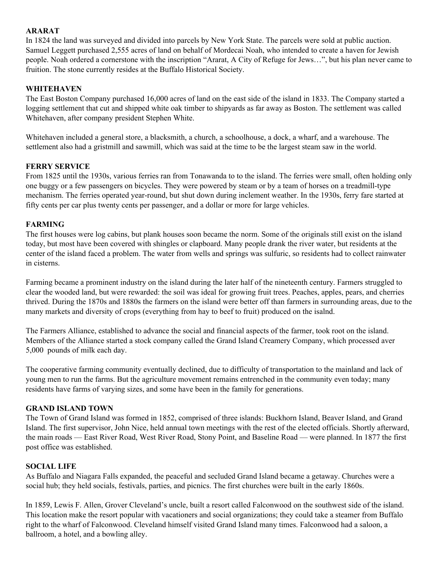## **ARARAT**

In 1824 the land was surveyed and divided into parcels by New York State. The parcels were sold at public auction. Samuel Leggett purchased 2,555 acres of land on behalf of Mordecai Noah, who intended to create a haven for Jewish people. Noah ordered a cornerstone with the inscription "Ararat, A City of Refuge for Jews…", but his plan never came to fruition. The stone currently resides at the Buffalo Historical Society.

## **WHITEHAVEN**

The East Boston Company purchased 16,000 acres of land on the east side of the island in 1833. The Company started a logging settlement that cut and shipped white oak timber to shipyards as far away as Boston. The settlement was called Whitehaven, after company president Stephen White.

Whitehaven included a general store, a blacksmith, a church, a schoolhouse, a dock, a wharf, and a warehouse. The settlement also had a gristmill and sawmill, which was said at the time to be the largest steam saw in the world.

## **FERRY SERVICE**

From 1825 until the 1930s, various ferries ran from Tonawanda to to the island. The ferries were small, often holding only one buggy or a few passengers on bicycles. They were powered by steam or by a team of horses on a treadmill-type mechanism. The ferries operated year-round, but shut down during inclement weather. In the 1930s, ferry fare started at fifty cents per car plus twenty cents per passenger, and a dollar or more for large vehicles.

## **FARMING**

The first houses were log cabins, but plank houses soon became the norm. Some of the originals still exist on the island today, but most have been covered with shingles or clapboard. Many people drank the river water, but residents at the center of the island faced a problem. The water from wells and springs was sulfuric, so residents had to collect rainwater in cisterns.

Farming became a prominent industry on the island during the later half of the nineteenth century. Farmers struggled to clear the wooded land, but were rewarded: the soil was ideal for growing fruit trees. Peaches, apples, pears, and cherries thrived. During the 1870s and 1880s the farmers on the island were better off than farmers in surrounding areas, due to the many markets and diversity of crops (everything from hay to beef to fruit) produced on the isalnd.

The Farmers Alliance, established to advance the social and financial aspects of the farmer, took root on the island. Members of the Alliance started a stock company called the Grand Island Creamery Company, which processed aver 5,000 pounds of milk each day.

The cooperative farming community eventually declined, due to difficulty of transportation to the mainland and lack of young men to run the farms. But the agriculture movement remains entrenched in the community even today; many residents have farms of varying sizes, and some have been in the family for generations.

#### **GRAND ISLAND TOWN**

The Town of Grand Island was formed in 1852, comprised of three islands: Buckhorn Island, Beaver Island, and Grand Island. The first supervisor, John Nice, held annual town meetings with the rest of the elected officials. Shortly afterward, the main roads — East River Road, West River Road, Stony Point, and Baseline Road — were planned. In 1877 the first post office was established.

#### **SOCIAL LIFE**

As Buffalo and Niagara Falls expanded, the peaceful and secluded Grand Island became a getaway. Churches were a social hub; they held socials, festivals, parties, and picnics. The first churches were built in the early 1860s.

In 1859, Lewis F. Allen, Grover Cleveland's uncle, built a resort called Falconwood on the southwest side of the island. This location make the resort popular with vacationers and social organizations; they could take a steamer from Buffalo right to the wharf of Falconwood. Cleveland himself visited Grand Island many times. Falconwood had a saloon, a ballroom, a hotel, and a bowling alley.